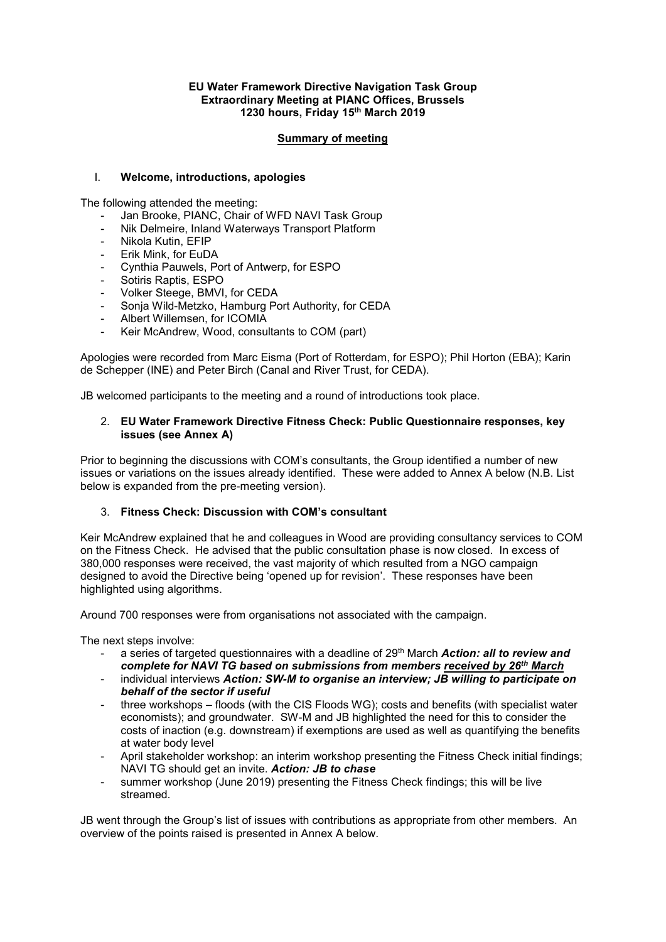#### **EU Water Framework Directive Navigation Task Group Extraordinary Meeting at PIANC Offices, Brussels 1230 hours, Friday 15th March 2019**

#### **Summary of meeting**

### I. **Welcome, introductions, apologies**

The following attended the meeting:

- Jan Brooke, PIANC, Chair of WFD NAVI Task Group
- Nik Delmeire, Inland Waterways Transport Platform
- Nikola Kutin, EFIP
- Erik Mink, for EuDA
- Cynthia Pauwels, Port of Antwerp, for ESPO
- Sotiris Raptis, ESPO
- Volker Steege, BMVI, for CEDA
- Sonia Wild-Metzko, Hamburg Port Authority, for CEDA
- Albert Willemsen, for ICOMIA
- Keir McAndrew, Wood, consultants to COM (part)

Apologies were recorded from Marc Eisma (Port of Rotterdam, for ESPO); Phil Horton (EBA); Karin de Schepper (INE) and Peter Birch (Canal and River Trust, for CEDA).

JB welcomed participants to the meeting and a round of introductions took place.

### 2. **EU Water Framework Directive Fitness Check: Public Questionnaire responses, key issues (see Annex A)**

Prior to beginning the discussions with COM's consultants, the Group identified a number of new issues or variations on the issues already identified. These were added to Annex A below (N.B. List below is expanded from the pre-meeting version).

## 3. **Fitness Check: Discussion with COM's consultant**

Keir McAndrew explained that he and colleagues in Wood are providing consultancy services to COM on the Fitness Check. He advised that the public consultation phase is now closed. In excess of 380,000 responses were received, the vast majority of which resulted from a NGO campaign designed to avoid the Directive being 'opened up for revision'. These responses have been highlighted using algorithms.

Around 700 responses were from organisations not associated with the campaign.

The next steps involve:

- a series of targeted questionnaires with a deadline of 29th March *Action: all to review and complete for NAVI TG based on submissions from members received by 26th March*
- individual interviews *Action: SW-M to organise an interview; JB willing to participate on behalf of the sector if useful*
- three workshops floods (with the CIS Floods WG); costs and benefits (with specialist water economists); and groundwater. SW-M and JB highlighted the need for this to consider the costs of inaction (e.g. downstream) if exemptions are used as well as quantifying the benefits at water body level
- April stakeholder workshop: an interim workshop presenting the Fitness Check initial findings; NAVI TG should get an invite. *Action: JB to chase*
- summer workshop (June 2019) presenting the Fitness Check findings; this will be live streamed.

JB went through the Group's list of issues with contributions as appropriate from other members. An overview of the points raised is presented in Annex A below.